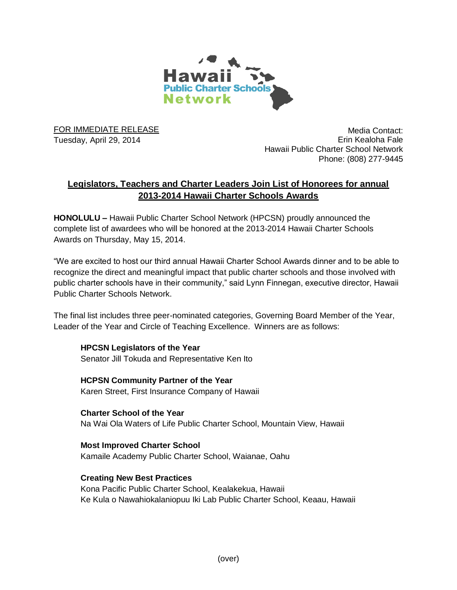

FOR IMMEDIATE RELEASE Tuesday, April 29, 2014

Media Contact: Erin Kealoha Fale Hawaii Public Charter School Network Phone: (808) 277-9445

# **Legislators, Teachers and Charter Leaders Join List of Honorees for annual 2013-2014 Hawaii Charter Schools Awards**

**HONOLULU –** Hawaii Public Charter School Network (HPCSN) proudly announced the complete list of awardees who will be honored at the 2013-2014 Hawaii Charter Schools Awards on Thursday, May 15, 2014.

"We are excited to host our third annual Hawaii Charter School Awards dinner and to be able to recognize the direct and meaningful impact that public charter schools and those involved with public charter schools have in their community," said Lynn Finnegan, executive director, Hawaii Public Charter Schools Network.

The final list includes three peer-nominated categories, Governing Board Member of the Year, Leader of the Year and Circle of Teaching Excellence. Winners are as follows:

**HPCSN Legislators of the Year** Senator Jill Tokuda and Representative Ken Ito

**HCPSN Community Partner of the Year** Karen Street, First Insurance Company of Hawaii

**Charter School of the Year** Na Wai Ola Waters of Life Public Charter School, Mountain View, Hawaii

**Most Improved Charter School** Kamaile Academy Public Charter School, Waianae, Oahu

**Creating New Best Practices** Kona Pacific Public Charter School, Kealakekua, Hawaii Ke Kula o Nawahiokalaniopuu Iki Lab Public Charter School, Keaau, Hawaii